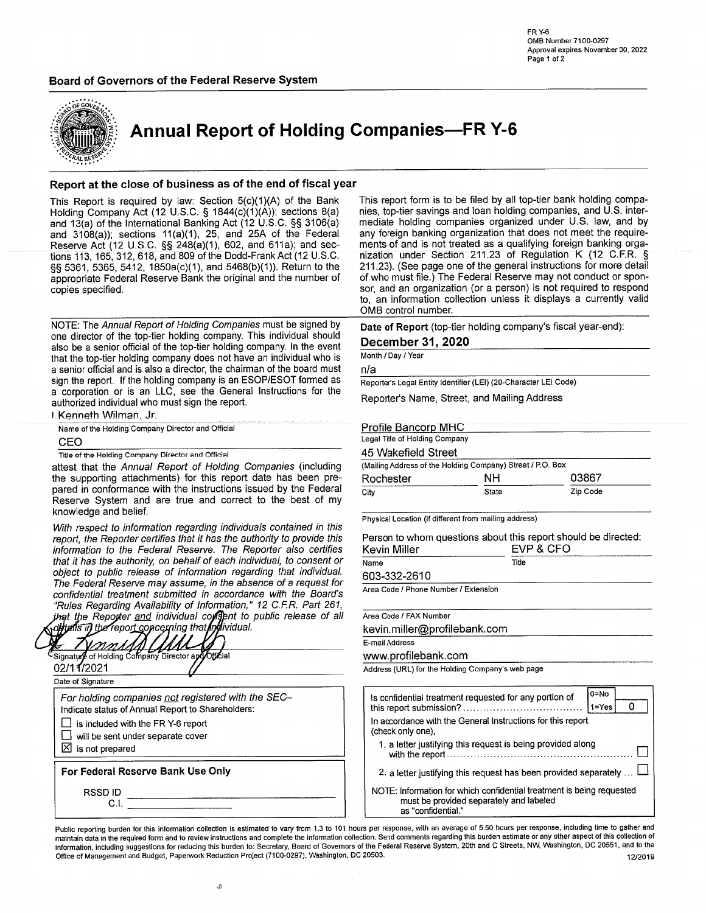#### Board of Governors of the Federal Reserve System



**Annual Report of Holding Companies-FR Y-6** 

#### Report at the close of business as of the end of fiscal year

This Report is required by law: Section 5(c)(1)(A) of the Bank Holding Company Act (12 U.S.C. § 1844(c)(1)(A)); sections 8(a) and 13(a) of the International Banking Act (12 U.S.C. §§ 3106(a) and  $3108(a)$ ; sections  $11(a)(1)$ , 25, and 25A of the Federal Reserve Act (12 U.S.C. §§ 248(a)(1), 602, and 611a); and sections 113, 165, 312, 618, and 809 of the Dodd-Frank Act (12 U.S.C. §§ 5361, 5365, 5412, 1850a(c)(1), and 5468(b)(1)). Return to the appropriate Federal Reserve Bank the original and the number of copies specified.

NOTE: The Annual Report of Holding Companies must be signed by one director of the top-tier holding company. This individual should also be a senior official of the top-tier holding company. In the event that the top-tier holding company does not have an individual who is a senior official and is also a director, the chairman of the board must sign the report. If the holding company is an ESOP/ESOT formed as a corporation or is an LLC, see the General Instructions for the authorized individual who must sign the report.

i. Kenneth Wilman, Jr.

Name of the Holding Company Director and Official

CEO

Title of the Holding Company Director and Official

attest that the Annual Report of Holding Companies (including the supporting attachments) for this report date has been prepared in conformance with the instructions issued by the Federal Reserve System and are true and correct to the best of my knowledge and belief.

With respect to information regarding individuals contained in this report, the Reporter certifies that it has the authority to provide this information to the Federal Reserve. The Reporter also certifies that it has the authority, on behalf of each individual, to consent or object to public release of information regarding that individual. The Federal Reserve may assume, in the absence of a request for confidential treatment submitted in accordance with the Board's "Rules Regarding Availability of Information," 12 C.F.R. Part 261, that the Reporter and individual consent to public release of all<br>that the Reporter and individual consent to public release of all

Signature of Holding Company UMN Director apdOfficial 02/11/2021 Date of Signature For holding companies not registered with the SEC-Indicate status of Annual Report to Shareholders: is included with the FR Y-6 report  $\Box$ will be sent under separate cover  $\boxtimes$  is not prepared For Federal Reserve Bank Use Only **RSSDID**  $C.I.$ 

This report form is to be filed by all top-tier bank holding companies, top-tier savings and loan holding companies, and U.S. intermediate holding companies organized under U.S. law, and by any foreign banking organization that does not meet the requirements of and is not treated as a qualifying foreign banking organization under Section 211.23 of Regulation K (12 C.F.R. § 211.23). (See page one of the general instructions for more detail of who must file.) The Federal Reserve may not conduct or sponsor, and an organization (or a person) is not required to respond to, an information collection unless it displays a currently valid OMB control number.

Date of Report (top-tier holding company's fiscal year-end):

December 31, 2020

Month / Day / Year

 $n/a$ 

Reporter's Legal Entity Identifier (LEI) (20-Character LEI Code)

Reporter's Name, Street, and Mailing Address

#### **Profile Bancorp MHC** Legal Title of Holding Company

### 45 Wakefield Street

| <b>HU VYANGHUN UNGGL</b>                                   |       |          |  |  |
|------------------------------------------------------------|-------|----------|--|--|
| (Mailing Address of the Holding Company) Street / P.O. Box |       |          |  |  |
| Rochester                                                  | NH.   | 03867    |  |  |
| City                                                       | State | Zip Code |  |  |

Physical Location (if different from mailing address)

Person to whom questions about this report should be directed: Kevin Miller **EVP & CEO** 

|                                    | <u>.</u><br>- - - - |
|------------------------------------|---------------------|
| 10000000000000000000000000<br>Name | Title               |
| LAS 222 2610                       |                     |

603-332-2610

Area Code / Phone Number / Extension

Area Code / FAX Number

kevin.miller@profilebank.com

E-mail Address

www.profilebank.com

Address (URL) for the Holding Company's web page

| 0=No<br>Is confidential treatment requested for any portion of<br>$1 = Yes$                                                           |
|---------------------------------------------------------------------------------------------------------------------------------------|
| In accordance with the General Instructions for this report<br>(check only one),                                                      |
| 1. a letter justifying this request is being provided along                                                                           |
| 2. a letter justifying this request has been provided separately                                                                      |
| NOTE: Information for which confidential treatment is being requested<br>must be provided separately and labeled<br>as "confidential" |

Public reporting burden for this information collection is estimated to vary from 1.3 to 101 hours per response, with an average of 5.50 hours per response, including time to gather and maintain data in the required form and to review instructions and complete the information collection. Send comments regarding this burden estimate or any other aspect of this collection of information, including suggestions for reducing this burden to: Secretary, Board of Governors of the Federal Reserve System, 20th and C Streets, NW, Washington, DC 20551, and to the Office of Management and Budget, Paperwork Reduction Project (7100-0297), Washington, DC 20503. 12/2019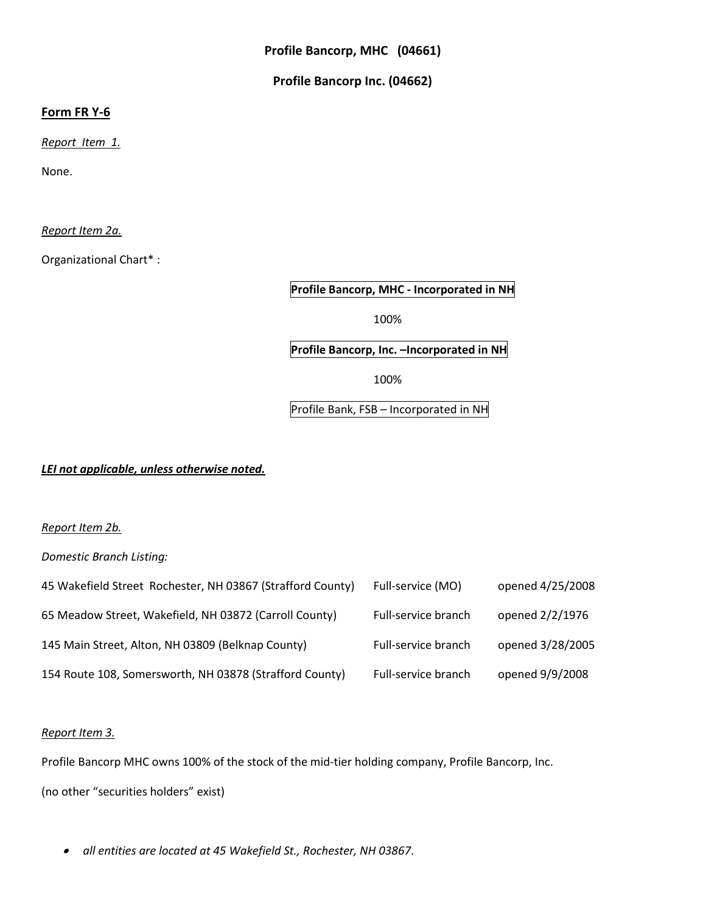# **Profile Bancorp Inc. (04662)**

## **Form FR Y-6**

*Report Item 1.*

None.

*Report Item 2a.*

Organizational Chart\* :

**Profile Bancorp, MHC - Incorporated in NH**

100%

**Profile Bancorp, Inc. –Incorporated in NH**

100%

Profile Bank, FSB – Incorporated in NH

*LEI not applicable, unless otherwise noted.*

*Report Item 2b.*

*Domestic Branch Listing:*

| 45 Wakefield Street Rochester, NH 03867 (Strafford County) | Full-service (MO)   | opened 4/25/2008 |
|------------------------------------------------------------|---------------------|------------------|
| 65 Meadow Street, Wakefield, NH 03872 (Carroll County)     | Full-service branch | opened 2/2/1976  |
| 145 Main Street, Alton, NH 03809 (Belknap County)          | Full-service branch | opened 3/28/2005 |
| 154 Route 108, Somersworth, NH 03878 (Strafford County)    | Full-service branch | opened 9/9/2008  |

## *Report Item 3.*

Profile Bancorp MHC owns 100% of the stock of the mid-tier holding company, Profile Bancorp, Inc.

(no other "securities holders" exist)

• *all entities are located at 45 Wakefield St., Rochester, NH 03867*.